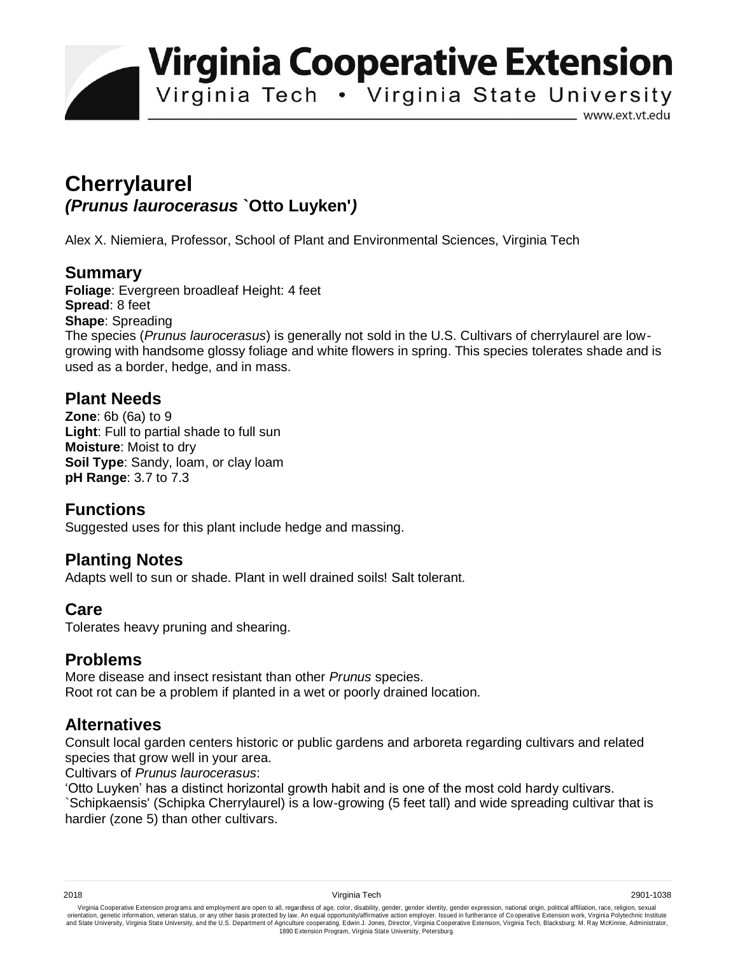**Virginia Cooperative Extension** 

Virginia Tech . Virginia State University

www.ext.vt.edu

# **Cherrylaurel** *(Prunus laurocerasus* **`Otto Luyken'***)*

Alex X. Niemiera, Professor, School of Plant and Environmental Sciences, Virginia Tech

## **Summary**

**Foliage**: Evergreen broadleaf Height: 4 feet **Spread**: 8 feet **Shape**: Spreading The species (*Prunus laurocerasus*) is generally not sold in the U.S. Cultivars of cherrylaurel are lowgrowing with handsome glossy foliage and white flowers in spring. This species tolerates shade and is used as a border, hedge, and in mass.

#### **Plant Needs**

**Zone**: 6b (6a) to 9 **Light**: Full to partial shade to full sun **Moisture**: Moist to dry **Soil Type**: Sandy, loam, or clay loam **pH Range**: 3.7 to 7.3

## **Functions**

Suggested uses for this plant include hedge and massing.

## **Planting Notes**

Adapts well to sun or shade. Plant in well drained soils! Salt tolerant.

## **Care**

Tolerates heavy pruning and shearing.

#### **Problems**

More disease and insect resistant than other *Prunus* species. Root rot can be a problem if planted in a wet or poorly drained location.

## **Alternatives**

Consult local garden centers historic or public gardens and arboreta regarding cultivars and related species that grow well in your area.

Cultivars of *Prunus laurocerasus*:

'Otto Luyken' has a distinct horizontal growth habit and is one of the most cold hardy cultivars.

`Schipkaensis' (Schipka Cherrylaurel) is a low-growing (5 feet tall) and wide spreading cultivar that is hardier (zone 5) than other cultivars.